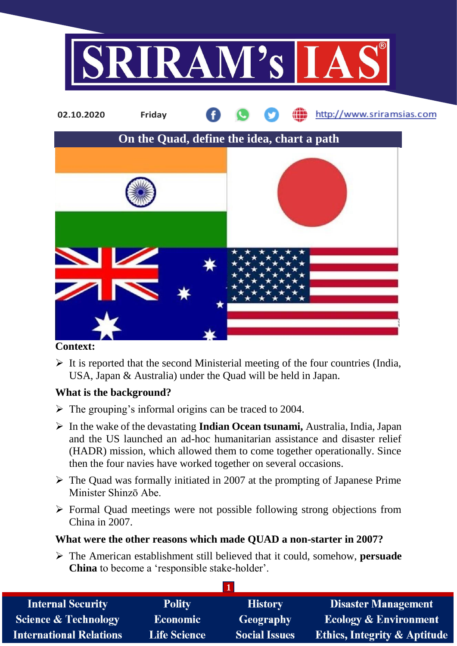

#### **Context:**

 $\triangleright$  It is reported that the second Ministerial meeting of the four countries (India, USA, Japan & Australia) under the Quad will be held in Japan.

## **What is the background?**

- $\triangleright$  The grouping's informal origins can be traced to 2004.
- In the wake of the devastating **Indian Ocean tsunami,** Australia, India, Japan and the US launched an ad-hoc humanitarian assistance and disaster relief (HADR) mission, which allowed them to come together operationally. Since then the four navies have worked together on several occasions.
- $\triangleright$  The Quad was formally initiated in 2007 at the prompting of Japanese Prime Minister Shinzō Abe.
- $\triangleright$  Formal Quad meetings were not possible following strong objections from China in 2007.

#### **What were the other reasons which made QUAD a non-starter in 2007?**

 The American establishment still believed that it could, somehow, **persuade China** to become a 'responsible stake-holder'.

**1**

| <b>Internal Security</b>        | <b>Polity</b>       | <b>History</b>       | <b>Disaster Management</b>       |  |  |  |
|---------------------------------|---------------------|----------------------|----------------------------------|--|--|--|
| <b>Science &amp; Technology</b> | <b>Economic</b>     | <b>Geography</b>     | <b>Ecology &amp; Environment</b> |  |  |  |
| <b>International Relations</b>  | <b>Life Science</b> | <b>Social Issues</b> | Ethics, Integrity & Aptitude     |  |  |  |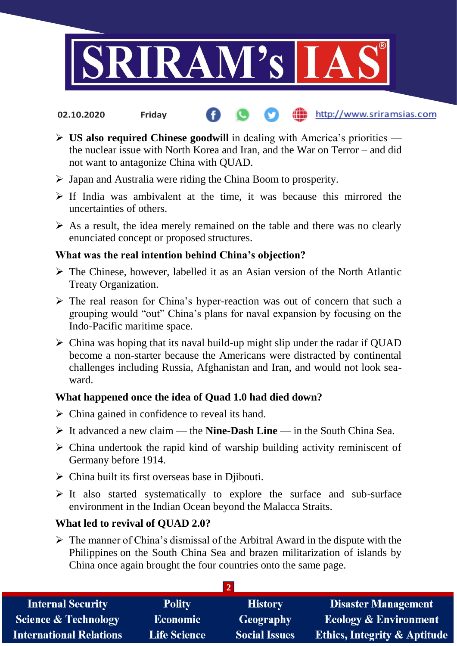

**02.10.2020 Friday**

- http://www.sriramsias.com
- **US also required Chinese goodwill** in dealing with America's priorities the nuclear issue with North Korea and Iran, and the War on Terror – and did not want to antagonize China with QUAD.
- $\triangleright$  Japan and Australia were riding the China Boom to prosperity.
- $\triangleright$  If India was ambivalent at the time, it was because this mirrored the uncertainties of others.
- $\triangleright$  As a result, the idea merely remained on the table and there was no clearly enunciated concept or proposed structures.

# **What was the real intention behind China's objection?**

- $\triangleright$  The Chinese, however, labelled it as an Asian version of the North Atlantic Treaty Organization.
- $\triangleright$  The real reason for China's hyper-reaction was out of concern that such a grouping would "out" China's plans for naval expansion by focusing on the Indo-Pacific maritime space.
- $\triangleright$  China was hoping that its naval build-up might slip under the radar if QUAD become a non-starter because the Americans were distracted by continental challenges including Russia, Afghanistan and Iran, and would not look seaward.

## **What happened once the idea of Quad 1.0 had died down?**

- $\triangleright$  China gained in confidence to reveal its hand.
- It advanced a new claim the **Nine-Dash Line** in the South China Sea.
- $\triangleright$  China undertook the rapid kind of warship building activity reminiscent of Germany before 1914.
- $\triangleright$  China built its first overseas base in Djibouti.
- $\triangleright$  It also started systematically to explore the surface and sub-surface environment in the Indian Ocean beyond the Malacca Straits.

## **What led to revival of QUAD 2.0?**

 $\triangleright$  The manner of China's dismissal of the Arbitral Award in the dispute with the Philippines on the South China Sea and brazen militarization of islands by China once again brought the four countries onto the same page.

| <b>Internal Security</b>        | <b>Polity</b>       | <b>History</b>       | <b>Disaster Management</b>              |  |  |  |
|---------------------------------|---------------------|----------------------|-----------------------------------------|--|--|--|
| <b>Science &amp; Technology</b> | <b>Economic</b>     | <b>Geography</b>     | <b>Ecology &amp; Environment</b>        |  |  |  |
| <b>International Relations</b>  | <b>Life Science</b> | <b>Social Issues</b> | <b>Ethics, Integrity &amp; Aptitude</b> |  |  |  |